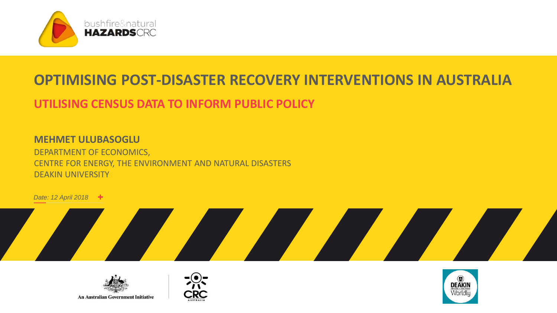

### **OPTIMISING POST-DISASTER RECOVERY INTERVENTIONS IN AUSTRALIA**

### **UTILISING CENSUS DATA TO INFORM PUBLIC POLICY**

**MEHMET ULUBASOGLU** DEPARTMENT OF ECONOMICS, CENTRE FOR ENERGY, THE ENVIRONMENT AND NATURAL DISASTERS DEAKIN UNIVERSITY

*Date: 12 April 2018*







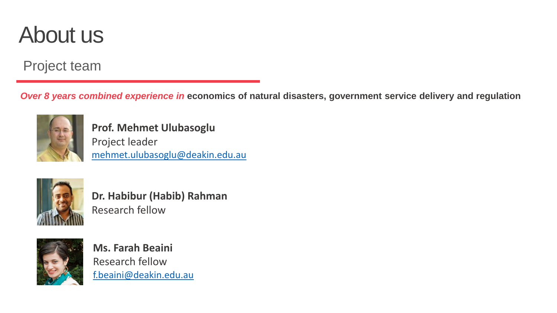## About us

Project team

*Over 8 years combined experience in* **economics of natural disasters, government service delivery and regulation**



**Prof. Mehmet Ulubasoglu** Project leader [mehmet.ulubasoglu@deakin.edu.au](mailto:Mehmet.Ulubasoglu@deakin.edu.au)



**Dr. Habibur (Habib) Rahman** Research fellow



**Ms. Farah Beaini** Research fellow [f.beaini@deakin.edu.au](mailto:f.beaini@deakin.edu.au)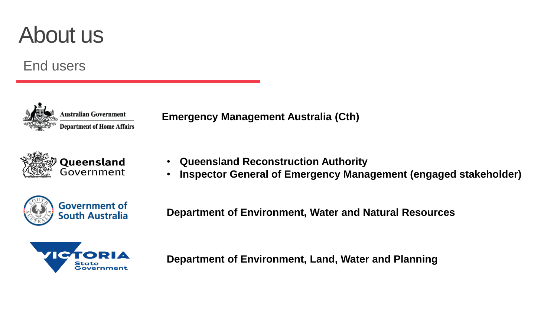## About us

### End users



**Emergency Management Australia (Cth)**



- **Queensland Reconstruction Authority**
- **Inspector General of Emergency Management (engaged stakeholder)**



**Department of Environment, Water and Natural Resources**



**Department of Environment, Land, Water and Planning**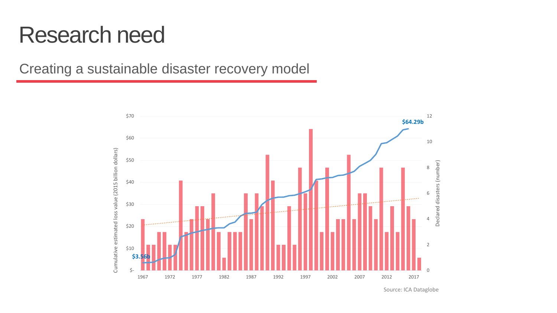## Research need

Creating a sustainable disaster recovery model



Source: ICA Dataglobe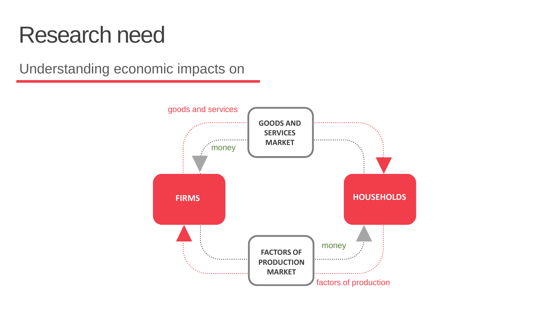## Research need

Understanding economic impacts on

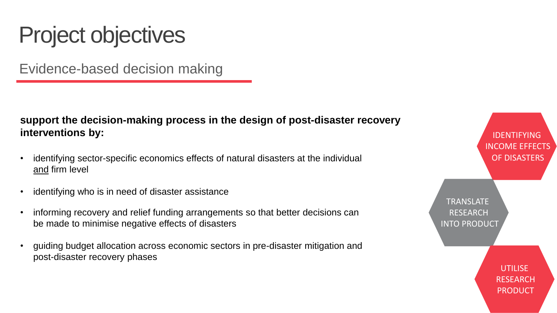## Project objectives

Evidence-based decision making

### **support the decision-making process in the design of post-disaster recovery interventions by:**

- identifying sector-specific economics effects of natural disasters at the individual and firm level
- identifying who is in need of disaster assistance
- informing recovery and relief funding arrangements so that better decisions can be made to minimise negative effects of disasters
- guiding budget allocation across economic sectors in pre-disaster mitigation and post-disaster recovery phases

IDENTIFYING INCOME EFFECTS OF DISASTERS

**TRANSLATE** RESEARCH INTO PRODUCT

> UTILISE RESEARCH PRODUCT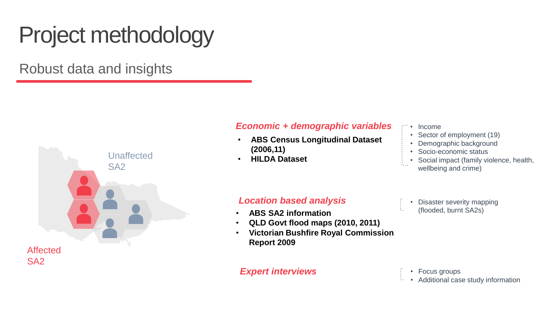Robust data and insights



#### *Economic + demographic variables*

- **ABS Census Longitudinal Dataset (2006,11)**
- **HILDA Dataset**
- Income
	- Sector of employment (19)
	- Demographic background
	- Socio-economic status
	- Social impact (family violence, health, wellbeing and crime)

### *Location based analysis*

- **ABS SA2 information**
- **QLD Govt flood maps (2010, 2011)**
- **Victorian Bushfire Royal Commission Report 2009**

### *Expert interviews*

• Disaster severity mapping (flooded, burnt SA2s)

- Focus groups
- Additional case study information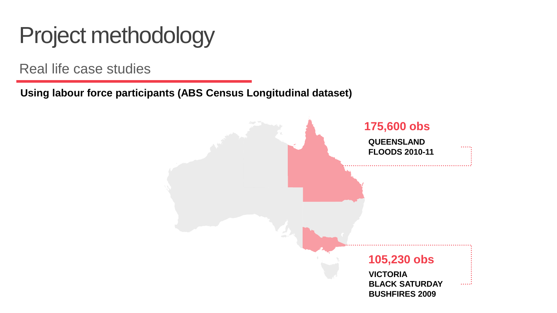Real life case studies

**Using labour force participants (ABS Census Longitudinal dataset)**

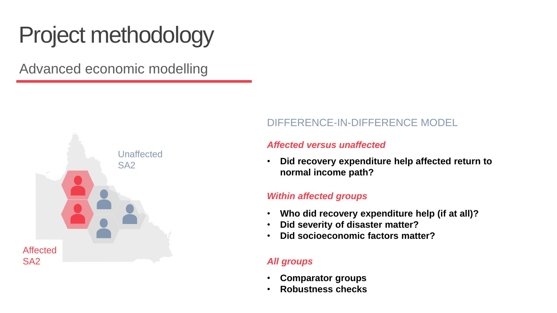Advanced economic modelling



### DIFFERENCE-IN-DIFFERENCE MODEL

### *Affected versus unaffected*

• **Did recovery expenditure help affected return to normal income path?**

### *Within affected groups*

- **Who did recovery expenditure help (if at all)?**
- **Did severity of disaster matter?**
- **Did socioeconomic factors matter?**

### *All groups*

- **Comparator groups**
- **Robustness checks**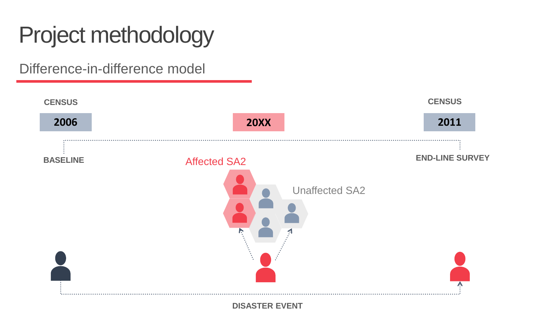Difference-in-difference model



**DISASTER EVENT**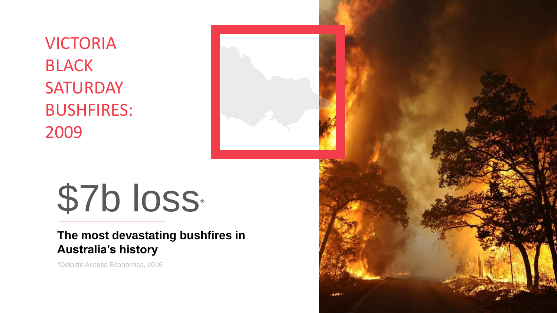VICTORIA BLACK **SATURDAY** BUSHFIRES: 2009

# \$7b loss

### **The most devastating bushfires in Australia's history**

\*Deloitte Access Economics, 2016

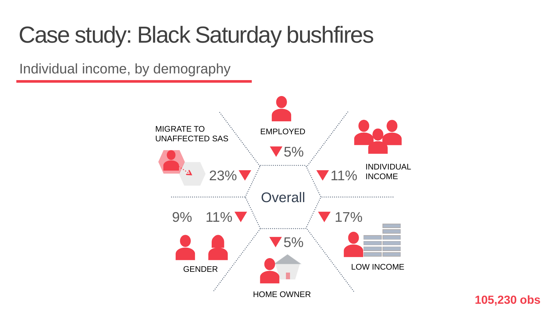## Case study: Black Saturday bushfires

Individual income, by demography



**105,230 obs**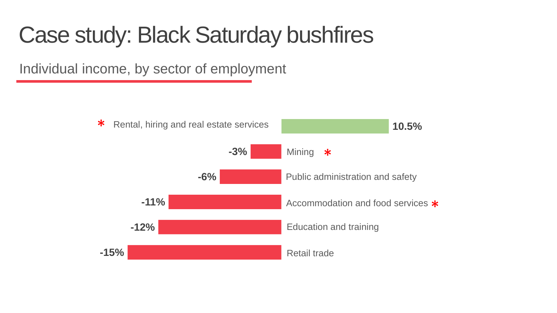## Case study: Black Saturday bushfires

Individual income, by sector of employment

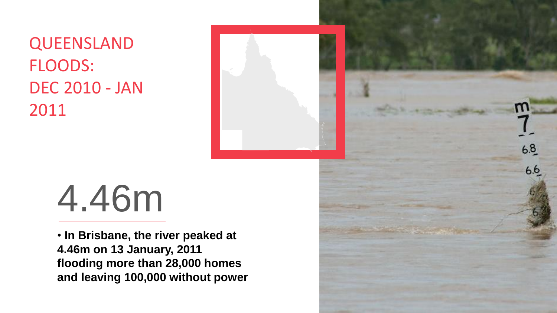QUEENSLAND FLOODS: DEC 2010 - JAN 2011

## 4.46m

• **In Brisbane, the river peaked at 4.46m on 13 January, 2011 flooding more than 28,000 homes and leaving 100,000 without power**

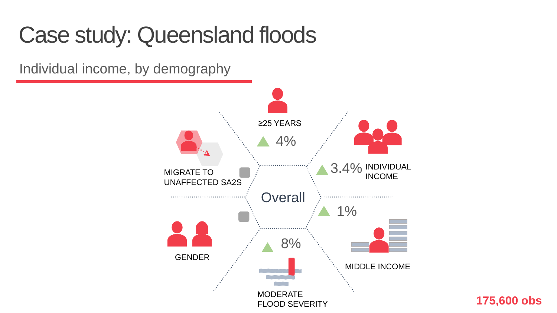## Case study: Queensland floods

Individual income, by demography



**175,600 obs**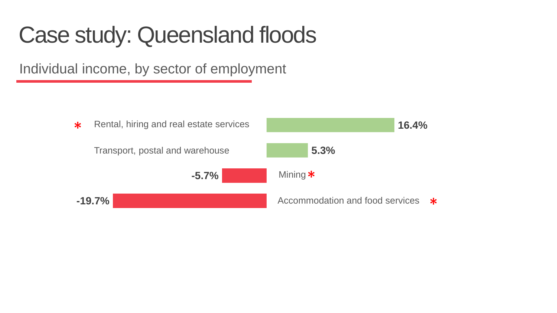## Case study: Queensland floods

Individual income, by sector of employment

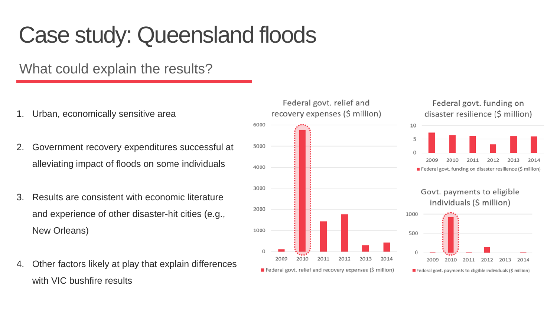## Case study: Queensland floods

### What could explain the results?

- 1. Urban, economically sensitive area
- 2. Government recovery expenditures successful at alleviating impact of floods on some individuals
- 3. Results are consistent with economic literature and experience of other disaster-hit cities (e.g., New Orleans)
- 4. Other factors likely at play that explain differences with VIC bushfire results

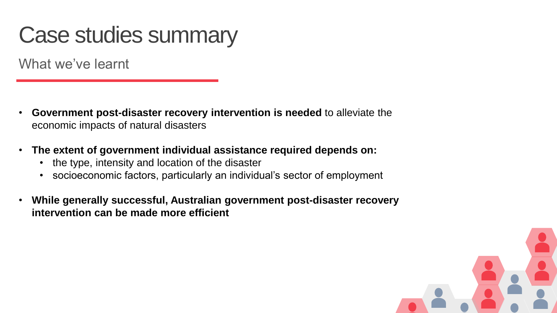## Case studies summary

What we've learnt

- **Government post-disaster recovery intervention is needed** to alleviate the economic impacts of natural disasters
- **The extent of government individual assistance required depends on:**
	- the type, intensity and location of the disaster
	- socioeconomic factors, particularly an individual's sector of employment
- **While generally successful, Australian government post-disaster recovery intervention can be made more efficient**

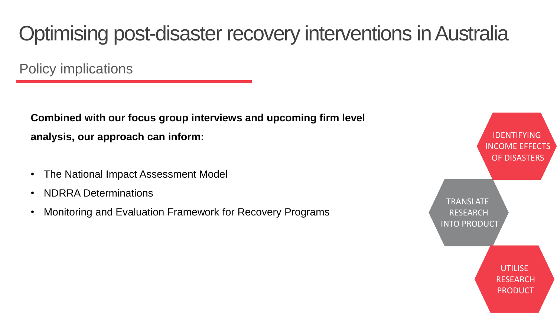## Optimising post-disaster recovery interventions in Australia

Policy implications

**Combined with our focus group interviews and upcoming firm level analysis, our approach can inform:**

- The National Impact Assessment Model
- NDRRA Determinations
- Monitoring and Evaluation Framework for Recovery Programs

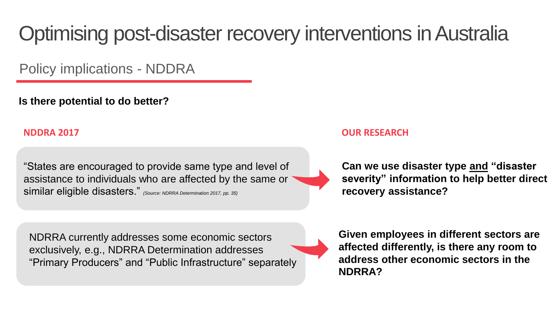## Optimising post-disaster recovery interventions in Australia

Policy implications - NDDRA

**Is there potential to do better?**

"States are encouraged to provide same type and level of assistance to individuals who are affected by the same or similar eligible disasters." *(Source: NDRRA Determination 2017, pp. 35)*

### **NDDRA 2017 OUR RESEARCH**

**Can we use disaster type and "disaster severity" information to help better direct recovery assistance?**

NDRRA currently addresses some economic sectors exclusively, e.g., NDRRA Determination addresses "Primary Producers" and "Public Infrastructure" separately

**Given employees in different sectors are affected differently, is there any room to address other economic sectors in the NDRRA?**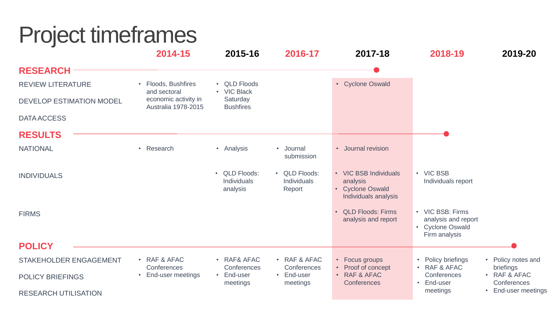## Project timeframes

|                                 | 2014-15                                     | 2015-16                                  | 2016-17                                       | 2017-18                                                                       | 2018-19                                                                      | 2019-20                         |
|---------------------------------|---------------------------------------------|------------------------------------------|-----------------------------------------------|-------------------------------------------------------------------------------|------------------------------------------------------------------------------|---------------------------------|
| <b>RESEARCH</b>                 |                                             |                                          |                                               |                                                                               |                                                                              |                                 |
| <b>REVIEW LITERATURE</b>        | • Floods, Bushfires<br>and sectoral         | • QLD Floods<br>• VIC Black              |                                               | • Cyclone Oswald                                                              |                                                                              |                                 |
| <b>DEVELOP ESTIMATION MODEL</b> | economic activity in<br>Australia 1978-2015 | Saturday<br><b>Bushfires</b>             |                                               |                                                                               |                                                                              |                                 |
| <b>DATA ACCESS</b>              |                                             |                                          |                                               |                                                                               |                                                                              |                                 |
| <b>RESULTS</b>                  |                                             |                                          |                                               |                                                                               |                                                                              |                                 |
| <b>NATIONAL</b>                 | • Research                                  | • Analysis                               | • Journal<br>submission                       | • Journal revision                                                            |                                                                              |                                 |
| <b>INDIVIDUALS</b>              |                                             | • QLD Floods:<br>Individuals<br>analysis | • QLD Floods:<br><b>Individuals</b><br>Report | • VIC BSB Individuals<br>analysis<br>• Cyclone Oswald<br>Individuals analysis | • VIC BSB<br>Individuals report                                              |                                 |
| <b>FIRMS</b>                    |                                             |                                          |                                               | <b>QLD Floods: Firms</b><br>analysis and report                               | • VIC BSB: Firms<br>analysis and report<br>• Cyclone Oswald<br>Firm analysis |                                 |
| <b>POLICY</b>                   |                                             |                                          |                                               |                                                                               |                                                                              |                                 |
| STAKEHOLDER ENGAGEMENT          | • RAF & AFAC<br>Conferences                 | • RAF& AFAC<br>Conferences               | • RAF & AFAC<br>Conferences                   | • Focus groups<br>• Proof of concept                                          | Policy briefings<br>$\bullet$<br>• RAF & AFAC                                | • Policy notes and<br>briefings |
| <b>POLICY BRIEFINGS</b>         | End-user meetings                           | • End-user<br>meetings                   | • End-user<br>meetings                        | • RAF & AFAC<br>Conferences                                                   | Conferences<br>End-user<br>$\bullet$                                         | • RAF & AFAC<br>Conferences     |
| <b>RESEARCH UTILISATION</b>     |                                             |                                          |                                               |                                                                               | meetings                                                                     | • End-user meetings             |